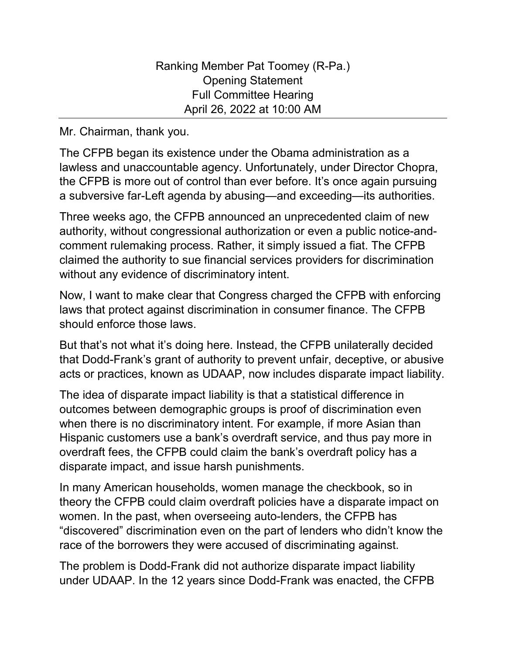Mr. Chairman, thank you.

The CFPB began its existence under the Obama administration as a lawless and unaccountable agency. Unfortunately, under Director Chopra, the CFPB is more out of control than ever before. It's once again pursuing a subversive far-Left agenda by abusing—and exceeding—its authorities.

Three weeks ago, the CFPB announced an unprecedented claim of new authority, without congressional authorization or even a public notice-andcomment rulemaking process. Rather, it simply issued a fiat. The CFPB claimed the authority to sue financial services providers for discrimination without any evidence of discriminatory intent.

Now, I want to make clear that Congress charged the CFPB with enforcing laws that protect against discrimination in consumer finance. The CFPB should enforce those laws.

But that's not what it's doing here. Instead, the CFPB unilaterally decided that Dodd-Frank's grant of authority to prevent unfair, deceptive, or abusive acts or practices, known as UDAAP, now includes disparate impact liability.

The idea of disparate impact liability is that a statistical difference in outcomes between demographic groups is proof of discrimination even when there is no discriminatory intent. For example, if more Asian than Hispanic customers use a bank's overdraft service, and thus pay more in overdraft fees, the CFPB could claim the bank's overdraft policy has a disparate impact, and issue harsh punishments.

In many American households, women manage the checkbook, so in theory the CFPB could claim overdraft policies have a disparate impact on women. In the past, when overseeing auto-lenders, the CFPB has "discovered" discrimination even on the part of lenders who didn't know the race of the borrowers they were accused of discriminating against.

The problem is Dodd-Frank did not authorize disparate impact liability under UDAAP. In the 12 years since Dodd-Frank was enacted, the CFPB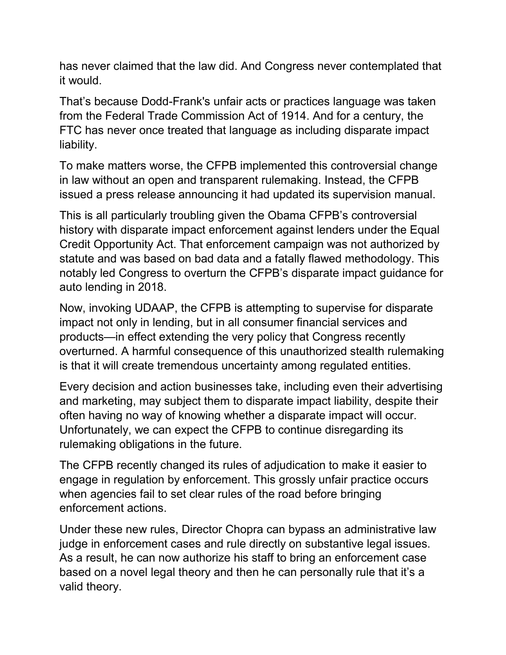has never claimed that the law did. And Congress never contemplated that it would.

That's because Dodd-Frank's unfair acts or practices language was taken from the Federal Trade Commission Act of 1914. And for a century, the FTC has never once treated that language as including disparate impact liability.

To make matters worse, the CFPB implemented this controversial change in law without an open and transparent rulemaking. Instead, the CFPB issued a press release announcing it had updated its supervision manual.

This is all particularly troubling given the Obama CFPB's controversial history with disparate impact enforcement against lenders under the Equal Credit Opportunity Act. That enforcement campaign was not authorized by statute and was based on bad data and a fatally flawed methodology. This notably led Congress to overturn the CFPB's disparate impact guidance for auto lending in 2018.

Now, invoking UDAAP, the CFPB is attempting to supervise for disparate impact not only in lending, but in all consumer financial services and products—in effect extending the very policy that Congress recently overturned. A harmful consequence of this unauthorized stealth rulemaking is that it will create tremendous uncertainty among regulated entities.

Every decision and action businesses take, including even their advertising and marketing, may subject them to disparate impact liability, despite their often having no way of knowing whether a disparate impact will occur. Unfortunately, we can expect the CFPB to continue disregarding its rulemaking obligations in the future.

The CFPB recently changed its rules of adjudication to make it easier to engage in regulation by enforcement. This grossly unfair practice occurs when agencies fail to set clear rules of the road before bringing enforcement actions.

Under these new rules, Director Chopra can bypass an administrative law judge in enforcement cases and rule directly on substantive legal issues. As a result, he can now authorize his staff to bring an enforcement case based on a novel legal theory and then he can personally rule that it's a valid theory.